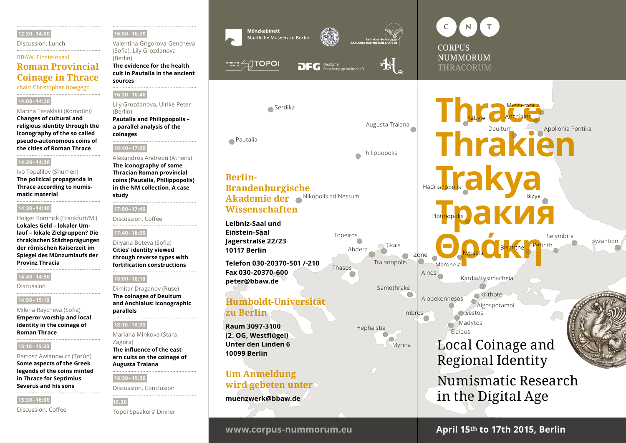#### **12:20 – 14:00**

Discussion, Lunch

### BBAW, Einsteinsaal

# **Roman Provincial Coinage in Thrace**

chair: Christopher Howgego

#### **14:00 – 14:20**

#### Marina Tasaklaki (Komotini)

**Changes of cultural and religious identity through the iconography of the so called pseudo-autonomous coins of the cities of Roman Thrace**

#### **14:20 – 14:30**

#### Ivo Topalilov (Shumen)

**The political propaganda in Thrace according to numismatic material**

#### **14:30 – 14:40**

Holger Komnick (Frankfurt/M.) **Lokales Geld – lokaler Umlauf – lokale Zielgruppen? Die thrakischen Städ te prä gungen der rö mischen Kaiserzeit im Spiegel des Münzumlaufs der Provinz Thracia**

#### **14:40 – 14:50**

Discussion

#### **14:50 – 15:10**

Milena Raycheva (Sofia) **Emperor worship and local identity in the coinage of Roman Thrace**

#### **15:10 – 15:30**

#### Bartosz Awianowicz (Torún)

**Some aspects of the Greek legends of the coins minted in Thrace for Septimius Severus and his sons**

#### **15:30 – 16:00**

Discussion, Coffee

#### **16:00 – 16:20**

Valentina Grigorova- Gencheva (Sofia), Lily Grozdanova (Berlin)

**The evidence for the health cult in Pautalia in the ancient sources**

#### **16:20 – 16:40**

Lily Grozdanova, Ulrike Peter (Berlin)

**Pautalia and Philippopolis – a parallel analysis of the coinages**

#### **16:40 – 17:00**

#### Alexandros Andreou (Athens)

**The iconography of some Thracian Roman provincial coins (Pautalia, Philippopolis) in the NM collection. A case study**

#### **17:00 – 17:40**

Discussion, Coffee 

#### **17:40 – 18:00**

Dilyana Boteva (Sofia) **Cities' identity viewed through reverse types with fortification constructions**

#### **18:00 – 18:10**

Dimitar Draganov (Ruse)

**The coinages of Deultum and Anchialus: Iconographic parallels**

#### **18:10 – 18:30**

Mariana Minkova (Stara

**The influence of the eastern cults on the coinage of Augusta Traiana**

#### **18:30 – 19:30**

Discussion, Conclusion

# **19.30**

Topoi Speakers' Dinner



Pautalia

**Berlin-**



Serdika

Nikopolis ad Nestum **Akademie der** 



Abdera

Hephaistia

Thasos

Topeiros

Augusta Traiana

Philippopolis

Traianopolis

Dikaia

Samothrake

Myrina



**Maronei**a

Plot<mark>in</mark>op<mark>oli</mark>s

Alopekonnesos

Elaious

**Madytos Sestos** 

Kypsela

Kardia/Lysimacheia

**Θράκη Βιελτίδη**<br>Maroneia

**Krithote** Aigospotamoi

Local Coinage and

Regional Identity

in the Digital Age

Ainos

Zone

◯

Imbrbs

O

# Anchialos Bizye Hadria<mark>no</mark>po<mark>li</mark>s Apollonia Pontika Messembria Deultum Kabyle **hrak Trakya Пор<mark>ов ЭАКИЯ</mark>**

Selymbria Byzantion

Bisanthe Perinth

**Leibniz-Saal und Einstein-Saal Jägerstraße 22/23 10117 Berlin**

**Brandenburgische** 

**Wissenschaften**

**Telefon 030-20370-501 /-210 Fax 030-20370-600 peter@bbaw.de**

# **Humboldt-Universität zu Berlin**

**Raum 3097-3100 (2. OG, Westfl ügel) Unter den Linden 6 10099 Berlin** 



**muenzwerk@bbaw.de** 

# **www.corpus-nummorum.eu April 15th to 17th 2015, Berlin**

Numismatic Research

Zagora)